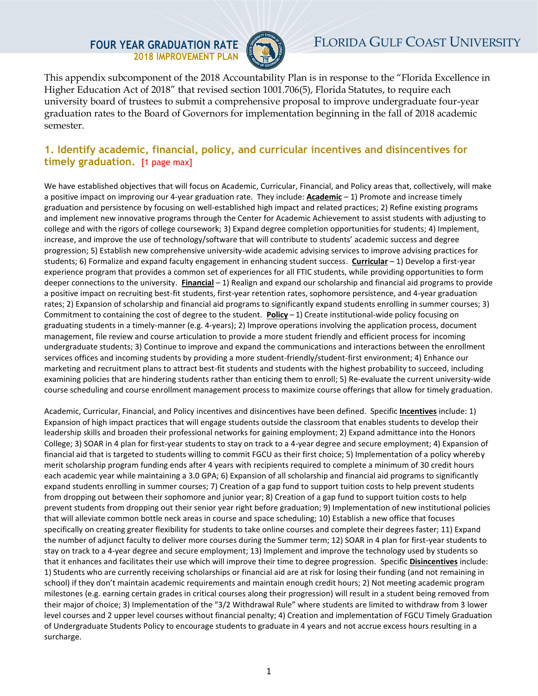## **FOUR YEAR GRADUATION RATE 2018 IMPROVEMENT PLAN**



This appendix subcomponent of the 2018 Accountability Plan is in response to the "Florida Excellence in Higher Education Act of 2018" that revised section 1001.706(5), Florida Statutes, to require each university board of trustees to submit a comprehensive proposal to improve undergraduate four-year graduation rates to the Board of Governors for implementation beginning in the fall of 2018 academic semester.

## **1. Identify academic, financial, policy, and curricular incentives and disincentives for timely graduation.** [1 page max]

We have established objectives that will focus on Academic, Curricular, Financial, and Policy areas that, collectively, will make a positive impact on improving our 4-year graduation rate. They include: **Academic** – 1) Promote and increase timely graduation and persistence by focusing on well-established high impact and related practices; 2) Refine existing programs and implement new innovative programs through the Center for Academic Achievement to assist students with adjusting to college and with the rigors of college coursework; 3) Expand degree completion opportunities for students; 4) Implement, increase, and improve the use of technology/software that will contribute to students' academic success and degree progression; 5) Establish new comprehensive university-wide academic advising services to improve advising practices for students; 6) Formalize and expand faculty engagement in enhancing student success. **Curricular** – 1) Develop a first-year experience program that provides a common set of experiences for all FTIC students, while providing opportunities to form deeper connections to the university.**Financial** – 1) Realign and expand our scholarship and financial aid programs to provide a positive impact on recruiting best-fit students, first-year retention rates, sophomore persistence, and 4-year graduation rates; 2) Expansion of scholarship and financial aid programs to significantly expand students enrolling in summer courses; 3) Commitment to containing the cost of degree to the student.**Policy** – 1) Create institutional-wide policy focusing on graduating students in a timely-manner (e.g. 4-years); 2) Improve operations involving the application process, document management, file review and course articulation to provide a more student friendly and efficient process for incoming undergraduate students; 3) Continue to improve and expand the communications and interactions between the enrollment services offices and incoming students by providing a more student-friendly/student-first environment; 4) Enhance our marketing and recruitment plans to attract best-fit students and students with the highest probability to succeed, including examining policies that are hindering students rather than enticing them to enroll; 5) Re-evaluate the current university-wide course scheduling and course enrollment management process to maximize course offerings that allow for timely graduation.

Academic, Curricular, Financial, and Policy incentives and disincentives have been defined. Specific **Incentives** include: 1) Expansion of high impact practices that will engage students outside the classroom that enables students to develop their leadership skills and broaden their professional networks for gaining employment; 2) Expand admittance into the Honors College; 3) SOAR in 4 plan for first-year students to stay on track to a 4-year degree and secure employment; 4) Expansion of financial aid that is targeted to students willing to commit FGCU as their first choice; 5) Implementation of a policy whereby merit scholarship program funding ends after 4 years with recipients required to complete a minimum of 30 credit hours each academic year while maintaining a 3.0 GPA; 6) Expansion of all scholarship and financial aid programs to significantly expand students enrolling in summer courses; 7) Creation of a gap fund to support tuition costs to help prevent students from dropping out between their sophomore and junior year; 8) Creation of a gap fund to support tuition costs to help prevent students from dropping out their senior year right before graduation; 9) Implementation of new institutional policies that will alleviate common bottle neck areas in course and space scheduling; 10) Establish a new office that focuses specifically on creating greater flexibility for students to take online courses and complete their degrees faster; 11) Expand the number of adjunct faculty to deliver more courses during the Summer term; 12) SOAR in 4 plan for first-year students to stay on track to a 4-year degree and secure employment; 13) Implement and improve the technology used by students so that it enhances and facilitates their use which will improve their time to degree progression. Specific **Disincentives** include: 1) Students who are currently receiving scholarships or financial aid are at risk for losing their funding (and not remaining in school) if they don't maintain academic requirements and maintain enough credit hours; 2) Not meeting academic program milestones (e.g. earning certain grades in critical courses along their progression) will result in a student being removed from their major of choice; 3) Implementation of the "3/2 Withdrawal Rule" where students are limited to withdraw from 3 lower level courses and 2 upper level courses without financial penalty; 4) Creation and implementation of FGCU Timely Graduation of Undergraduate Students Policy to encourage students to graduate in 4 years and not accrue excess hours resulting in a surcharge.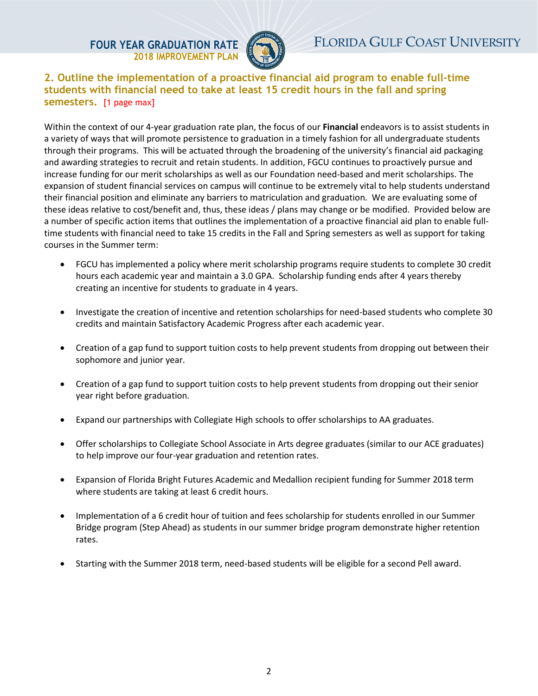**FOUR YEAR GRADUATION RATE 2018 IMPROVEMENT PLAN**



**2. Outline the implementation of a proactive financial aid program to enable full-time students with financial need to take at least 15 credit hours in the fall and spring semesters.** [1 page max]

Within the context of our 4-year graduation rate plan, the focus of our **Financial** endeavors is to assist students in a variety of ways that will promote persistence to graduation in a timely fashion for all undergraduate students through their programs. This will be actuated through the broadening of the university's financial aid packaging and awarding strategies to recruit and retain students. In addition, FGCU continues to proactively pursue and increase funding for our merit scholarships as well as our Foundation need-based and merit scholarships. The expansion of student financial services on campus will continue to be extremely vital to help students understand their financial position and eliminate any barriers to matriculation and graduation. We are evaluating some of these ideas relative to cost/benefit and, thus, these ideas / plans may change or be modified. Provided below are a number of specific action items that outlines the implementation of a proactive financial aid plan to enable fulltime students with financial need to take 15 credits in the Fall and Spring semesters as well as support for taking courses in the Summer term:

- FGCU has implemented a policy where merit scholarship programs require students to complete 30 credit hours each academic year and maintain a 3.0 GPA. Scholarship funding ends after 4 years thereby creating an incentive for students to graduate in 4 years.
- Investigate the creation of incentive and retention scholarships for need-based students who complete 30 credits and maintain Satisfactory Academic Progress after each academic year.
- Creation of a gap fund to support tuition costs to help prevent students from dropping out between their sophomore and junior year.
- Creation of a gap fund to support tuition costs to help prevent students from dropping out their senior year right before graduation.
- Expand our partnerships with Collegiate High schools to offer scholarships to AA graduates.
- Offer scholarships to Collegiate School Associate in Arts degree graduates (similar to our ACE graduates) to help improve our four-year graduation and retention rates.
- Expansion of Florida Bright Futures Academic and Medallion recipient funding for Summer 2018 term where students are taking at least 6 credit hours.
- Implementation of a 6 credit hour of tuition and fees scholarship for students enrolled in our Summer Bridge program (Step Ahead) as students in our summer bridge program demonstrate higher retention rates.
- Starting with the Summer 2018 term, need-based students will be eligible for a second Pell award.